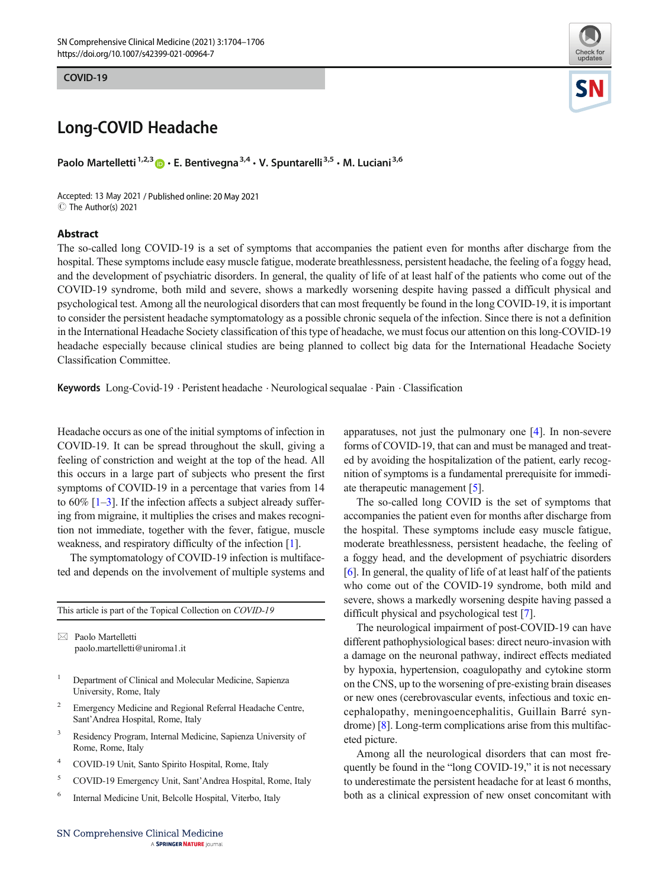COVID-19 COVID-19



## Long-COVID Headache

Paolo Martelletti<sup>1,2,3</sup>  $\cdot$  E. Bentivegna<sup>3,4</sup>  $\cdot$  V. Spuntarelli<sup>3,5</sup>  $\cdot$  M. Luciani<sup>3,6</sup>

Accepted: 13 May 2021 / Published online: 20 May 2021 C The Author(s) 2021

## Abstract

The so-called long COVID-19 is a set of symptoms that accompanies the patient even for months after discharge from the hospital. These symptoms include easy muscle fatigue, moderate breathlessness, persistent headache, the feeling of a foggy head, and the development of psychiatric disorders. In general, the quality of life of at least half of the patients who come out of the COVID-19 syndrome, both mild and severe, shows a markedly worsening despite having passed a difficult physical and psychological test. Among all the neurological disorders that can most frequently be found in the long COVID-19, it is important to consider the persistent headache symptomatology as a possible chronic sequela of the infection. Since there is not a definition in the International Headache Society classification of this type of headache, we must focus our attention on this long-COVID-19 headache especially because clinical studies are being planned to collect big data for the International Headache Society Classification Committee.

Keywords  $Long-Covid-19$   $\cdot$  Peristent headache  $\cdot$  Neurological sequalae  $\cdot$  Pain  $\cdot$  Classification

Headache occurs as one of the initial symptoms of infection in COVID-19. It can be spread throughout the skull, giving a feeling of constriction and weight at the top of the head. All this occurs in a large part of subjects who present the first symptoms of COVID-19 in a percentage that varies from 14 to  $60\%$  [[1](#page-1-0)–[3](#page-1-0)]. If the infection affects a subject already suffering from migraine, it multiplies the crises and makes recognition not immediate, together with the fever, fatigue, muscle weakness, and respiratory difficulty of the infection [[1\]](#page-1-0).

The symptomatology of COVID-19 infection is multifaceted and depends on the involvement of multiple systems and

This article is part of the Topical Collection on COVID-19

 $\boxtimes$  Paolo Martelletti [paolo.martelletti@uniroma1.it](mailto:paolo.martelletti@uniroma1.it)

- <sup>1</sup> Department of Clinical and Molecular Medicine, Sapienza University, Rome, Italy
- <sup>2</sup> Emergency Medicine and Regional Referral Headache Centre, Sant'Andrea Hospital, Rome, Italy
- <sup>3</sup> Residency Program, Internal Medicine, Sapienza University of Rome, Rome, Italy
- <sup>4</sup> COVID-19 Unit, Santo Spirito Hospital, Rome, Italy
- <sup>5</sup> COVID-19 Emergency Unit, Sant'Andrea Hospital, Rome, Italy
- <sup>6</sup> Internal Medicine Unit, Belcolle Hospital, Viterbo, Italy

apparatuses, not just the pulmonary one [\[4](#page-1-0)]. In non-severe forms of COVID-19, that can and must be managed and treated by avoiding the hospitalization of the patient, early recognition of symptoms is a fundamental prerequisite for immediate therapeutic management [[5\]](#page-1-0).

The so-called long COVID is the set of symptoms that accompanies the patient even for months after discharge from the hospital. These symptoms include easy muscle fatigue, moderate breathlessness, persistent headache, the feeling of a foggy head, and the development of psychiatric disorders [\[6](#page-1-0)]. In general, the quality of life of at least half of the patients who come out of the COVID-19 syndrome, both mild and severe, shows a markedly worsening despite having passed a difficult physical and psychological test [[7](#page-1-0)].

The neurological impairment of post-COVID-19 can have different pathophysiological bases: direct neuro-invasion with a damage on the neuronal pathway, indirect effects mediated by hypoxia, hypertension, coagulopathy and cytokine storm on the CNS, up to the worsening of pre-existing brain diseases or new ones (cerebrovascular events, infectious and toxic encephalopathy, meningoencephalitis, Guillain Barré syndrome) [\[8](#page-1-0)]. Long-term complications arise from this multifaceted picture.

Among all the neurological disorders that can most frequently be found in the "long COVID-19," it is not necessary to underestimate the persistent headache for at least 6 months, both as a clinical expression of new onset concomitant with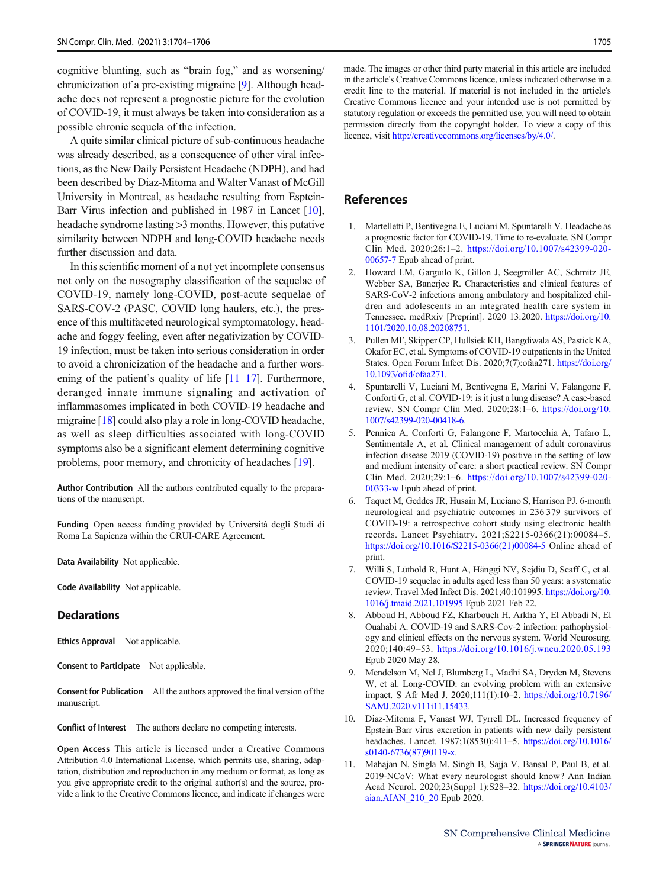<span id="page-1-0"></span>cognitive blunting, such as "brain fog," and as worsening/ chronicization of a pre-existing migraine [9]. Although headache does not represent a prognostic picture for the evolution of COVID-19, it must always be taken into consideration as a possible chronic sequela of the infection.

A quite similar clinical picture of sub-continuous headache was already described, as a consequence of other viral infections, as the New Daily Persistent Headache (NDPH), and had been described by Diaz-Mitoma and Walter Vanast of McGill University in Montreal, as headache resulting from Esptein-Barr Virus infection and published in 1987 in Lancet [10], headache syndrome lasting >3 months. However, this putative similarity between NDPH and long-COVID headache needs further discussion and data.

In this scientific moment of a not yet incomplete consensus not only on the nosography classification of the sequelae of COVID-19, namely long-COVID, post-acute sequelae of SARS-COV-2 (PASC, COVID long haulers, etc.), the presence of this multifaceted neurological symptomatology, headache and foggy feeling, even after negativization by COVID-19 infection, must be taken into serious consideration in order to avoid a chronicization of the headache and a further worsening of the patient's quality of life  $[11–17]$  $[11–17]$  $[11–17]$ . Furthermore, deranged innate immune signaling and activation of inflammasomes implicated in both COVID-19 headache and migraine [\[18](#page-2-0)] could also play a role in long-COVID headache, as well as sleep difficulties associated with long-COVID symptoms also be a significant element determining cognitive problems, poor memory, and chronicity of headaches [[19\]](#page-2-0).

Author Contribution All the authors contributed equally to the preparations of the manuscript.

Funding Open access funding provided by Università degli Studi di Roma La Sapienza within the CRUI-CARE Agreement.

Data Availability Not applicable.

Code Availability Not applicable.

## **Declarations**

Ethics Approval Not applicable.

Consent to Participate Not applicable.

Consent for Publication All the authors approved the final version of the manuscript.

Conflict of Interest The authors declare no competing interests.

Open Access This article is licensed under a Creative Commons Attribution 4.0 International License, which permits use, sharing, adaptation, distribution and reproduction in any medium or format, as long as you give appropriate credit to the original author(s) and the source, provide a link to the Creative Commons licence, and indicate if changes were made. The images or other third party material in this article are included in the article's Creative Commons licence, unless indicated otherwise in a credit line to the material. If material is not included in the article's Creative Commons licence and your intended use is not permitted by statutory regulation or exceeds the permitted use, you will need to obtain permission directly from the copyright holder. To view a copy of this licence, visit <http://creativecommons.org/licenses/by/4.0/>.

## References

- 1. Martelletti P, Bentivegna E, Luciani M, Spuntarelli V. Headache as a prognostic factor for COVID-19. Time to re-evaluate. SN Compr Clin Med. 2020;26:1–2. [https://doi.org/10.1007/s42399-020-](https://doi.org/10.1007/s42399-020-00657-7) [00657-7](https://doi.org/10.1007/s42399-020-00657-7) Epub ahead of print.
- 2. Howard LM, Garguilo K, Gillon J, Seegmiller AC, Schmitz JE, Webber SA, Banerjee R. Characteristics and clinical features of SARS-CoV-2 infections among ambulatory and hospitalized children and adolescents in an integrated health care system in Tennessee. medRxiv [Preprint]. 2020 13:2020. [https://doi.org/10.](https://doi.org/10.1101/2020.10.08.20208751) [1101/2020.10.08.20208751](https://doi.org/10.1101/2020.10.08.20208751).
- 3. Pullen MF, Skipper CP, Hullsiek KH, Bangdiwala AS, Pastick KA, Okafor EC, et al. Symptoms of COVID-19 outpatients in the United States. Open Forum Infect Dis. 2020;7(7):ofaa271. [https://doi.org/](https://doi.org/10.1093/ofid/ofaa271) [10.1093/ofid/ofaa271](https://doi.org/10.1093/ofid/ofaa271).
- 4. Spuntarelli V, Luciani M, Bentivegna E, Marini V, Falangone F, Conforti G, et al. COVID-19: is it just a lung disease? A case-based review. SN Compr Clin Med. 2020;28:1–6. https://doi.org/10. 1007/s42399-020-00418-6.
- 5. Pennica A, Conforti G, Falangone F, Martocchia A, Tafaro L, Sentimentale A, et al. Clinical management of adult coronavirus infection disease 2019 (COVID-19) positive in the setting of low and medium intensity of care: a short practical review. SN Compr Clin Med. 2020;29:1–6. [https://doi.org/10.1007/s42399-020-](https://doi.org/10.1007/s42399-020-00333-w) [00333-w](https://doi.org/10.1007/s42399-020-00333-w) Epub ahead of print.
- 6. Taquet M, Geddes JR, Husain M, Luciano S, Harrison PJ. 6-month neurological and psychiatric outcomes in 236 379 survivors of COVID-19: a retrospective cohort study using electronic health records. Lancet Psychiatry. 2021;S2215-0366(21):00084–5. [https://doi.org/10.1016/S2215-0366\(21\)00084-5](https://doi.org/10.1016/S2215-0366(21)00084-5) Online ahead of print.
- 7. Willi S, Lüthold R, Hunt A, Hänggi NV, Sejdiu D, Scaff C, et al. COVID-19 sequelae in adults aged less than 50 years: a systematic review. Travel Med Infect Dis. 2021;40:101995. [https://doi.org/10.](https://doi.org/10.1016/j.tmaid.2021.101995) [1016/j.tmaid.2021.101995](https://doi.org/10.1016/j.tmaid.2021.101995) Epub 2021 Feb 22.
- 8. Abboud H, Abboud FZ, Kharbouch H, Arkha Y, El Abbadi N, El Ouahabi A. COVID-19 and SARS-Cov-2 infection: pathophysiology and clinical effects on the nervous system. World Neurosurg. 2020;140:49–53. <https://doi.org/10.1016/j.wneu.2020.05.193> Epub 2020 May 28.
- 9. Mendelson M, Nel J, Blumberg L, Madhi SA, Dryden M, Stevens W, et al. Long-COVID: an evolving problem with an extensive impact. S Afr Med J. 2020;111(1):10–2. [https://doi.org/10.7196/](https://doi.org/10.7196/SAMJ.2020.v111i11.15433) [SAMJ.2020.v111i11.15433.](https://doi.org/10.7196/SAMJ.2020.v111i11.15433)
- 10. Diaz-Mitoma F, Vanast WJ, Tyrrell DL. Increased frequency of Epstein-Barr virus excretion in patients with new daily persistent headaches. Lancet. 1987;1(8530):411–5. [https://doi.org/10.1016/](https://doi.org/10.1016/s0140-6736(87)90119-x) [s0140-6736\(87\)90119-x](https://doi.org/10.1016/s0140-6736(87)90119-x).
- 11. Mahajan N, Singla M, Singh B, Sajja V, Bansal P, Paul B, et al. 2019-NCoV: What every neurologist should know? Ann Indian Acad Neurol. 2020;23(Suppl 1):S28–32. [https://doi.org/10.4103/](https://doi.org/10.4103/aian.AIAN_210_20) [aian.AIAN\\_210\\_20](https://doi.org/10.4103/aian.AIAN_210_20) Epub 2020.